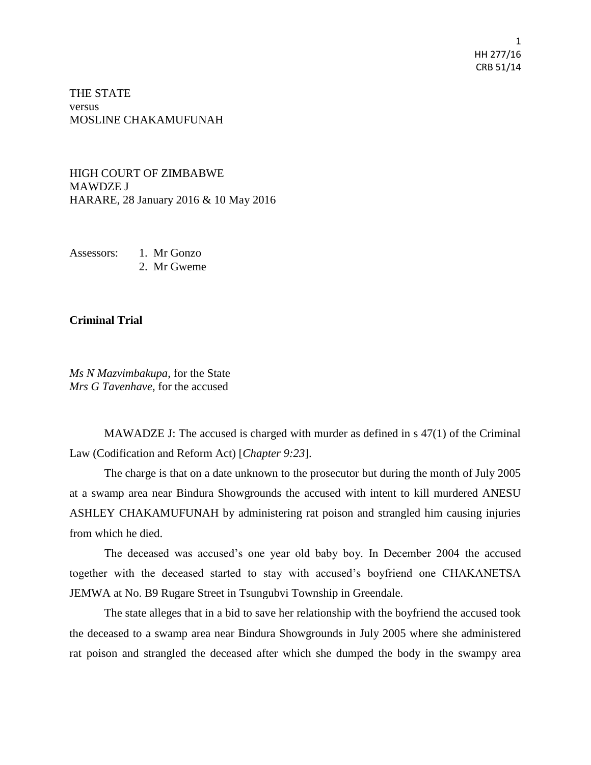1 HH 277/16 CRB 51/14

THE STATE versus MOSLINE CHAKAMUFUNAH

HIGH COURT OF ZIMBABWE MAWDZE J HARARE, 28 January 2016 & 10 May 2016

Assessors: 1. Mr Gonzo

2. Mr Gweme

## **Criminal Trial**

*Ms N Mazvimbakupa*, for the State *Mrs G Tavenhave*, for the accused

MAWADZE J: The accused is charged with murder as defined in s 47(1) of the Criminal Law (Codification and Reform Act) [*Chapter 9:23*].

The charge is that on a date unknown to the prosecutor but during the month of July 2005 at a swamp area near Bindura Showgrounds the accused with intent to kill murdered ANESU ASHLEY CHAKAMUFUNAH by administering rat poison and strangled him causing injuries from which he died.

The deceased was accused's one year old baby boy. In December 2004 the accused together with the deceased started to stay with accused's boyfriend one CHAKANETSA JEMWA at No. B9 Rugare Street in Tsungubvi Township in Greendale.

The state alleges that in a bid to save her relationship with the boyfriend the accused took the deceased to a swamp area near Bindura Showgrounds in July 2005 where she administered rat poison and strangled the deceased after which she dumped the body in the swampy area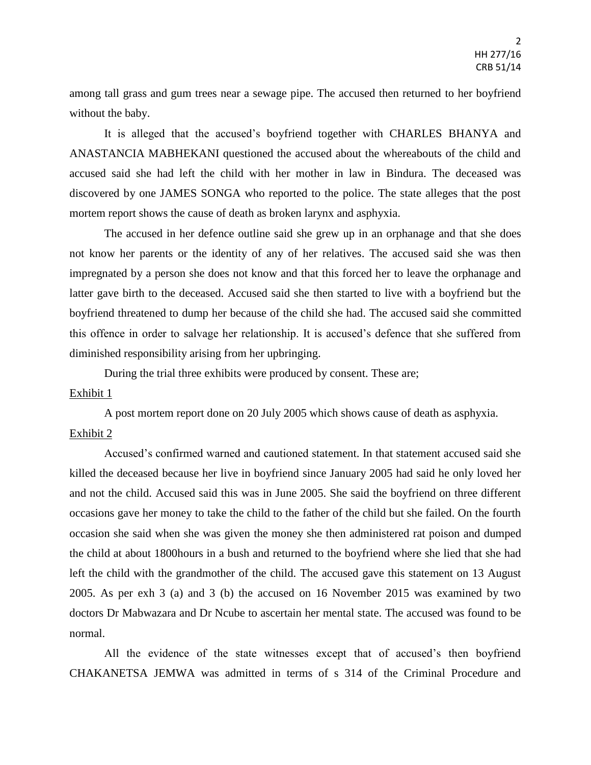among tall grass and gum trees near a sewage pipe. The accused then returned to her boyfriend without the baby.

It is alleged that the accused's boyfriend together with CHARLES BHANYA and ANASTANCIA MABHEKANI questioned the accused about the whereabouts of the child and accused said she had left the child with her mother in law in Bindura. The deceased was discovered by one JAMES SONGA who reported to the police. The state alleges that the post mortem report shows the cause of death as broken larynx and asphyxia.

The accused in her defence outline said she grew up in an orphanage and that she does not know her parents or the identity of any of her relatives. The accused said she was then impregnated by a person she does not know and that this forced her to leave the orphanage and latter gave birth to the deceased. Accused said she then started to live with a boyfriend but the boyfriend threatened to dump her because of the child she had. The accused said she committed this offence in order to salvage her relationship. It is accused's defence that she suffered from diminished responsibility arising from her upbringing.

During the trial three exhibits were produced by consent. These are;

#### Exhibit 1

A post mortem report done on 20 July 2005 which shows cause of death as asphyxia.

# Exhibit 2

Accused's confirmed warned and cautioned statement. In that statement accused said she killed the deceased because her live in boyfriend since January 2005 had said he only loved her and not the child. Accused said this was in June 2005. She said the boyfriend on three different occasions gave her money to take the child to the father of the child but she failed. On the fourth occasion she said when she was given the money she then administered rat poison and dumped the child at about 1800hours in a bush and returned to the boyfriend where she lied that she had left the child with the grandmother of the child. The accused gave this statement on 13 August 2005. As per exh 3 (a) and 3 (b) the accused on 16 November 2015 was examined by two doctors Dr Mabwazara and Dr Ncube to ascertain her mental state. The accused was found to be normal.

All the evidence of the state witnesses except that of accused's then boyfriend CHAKANETSA JEMWA was admitted in terms of s 314 of the Criminal Procedure and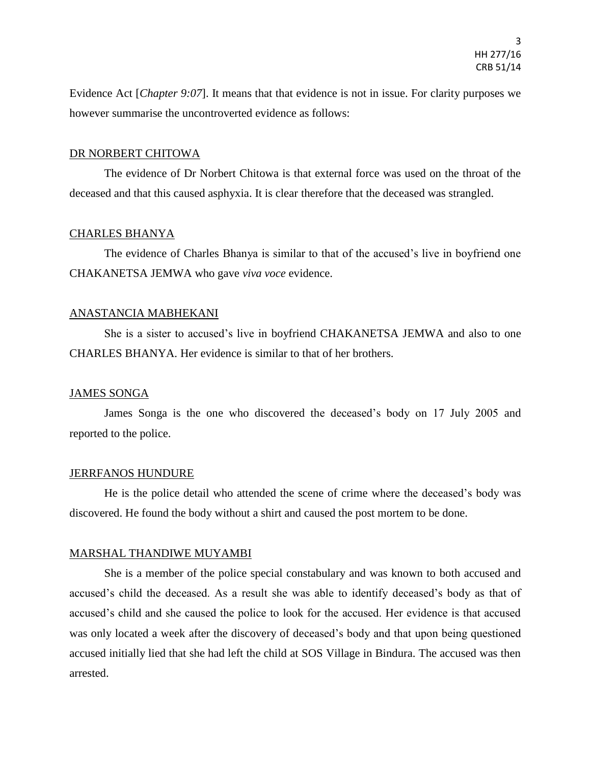Evidence Act [*Chapter 9:07*]. It means that that evidence is not in issue. For clarity purposes we however summarise the uncontroverted evidence as follows:

#### DR NORBERT CHITOWA

The evidence of Dr Norbert Chitowa is that external force was used on the throat of the deceased and that this caused asphyxia. It is clear therefore that the deceased was strangled.

## CHARLES BHANYA

The evidence of Charles Bhanya is similar to that of the accused's live in boyfriend one CHAKANETSA JEMWA who gave *viva voce* evidence.

## ANASTANCIA MABHEKANI

She is a sister to accused's live in boyfriend CHAKANETSA JEMWA and also to one CHARLES BHANYA. Her evidence is similar to that of her brothers.

# JAMES SONGA

James Songa is the one who discovered the deceased's body on 17 July 2005 and reported to the police.

#### JERRFANOS HUNDURE

He is the police detail who attended the scene of crime where the deceased's body was discovered. He found the body without a shirt and caused the post mortem to be done.

#### MARSHAL THANDIWE MUYAMBI

She is a member of the police special constabulary and was known to both accused and accused's child the deceased. As a result she was able to identify deceased's body as that of accused's child and she caused the police to look for the accused. Her evidence is that accused was only located a week after the discovery of deceased's body and that upon being questioned accused initially lied that she had left the child at SOS Village in Bindura. The accused was then arrested.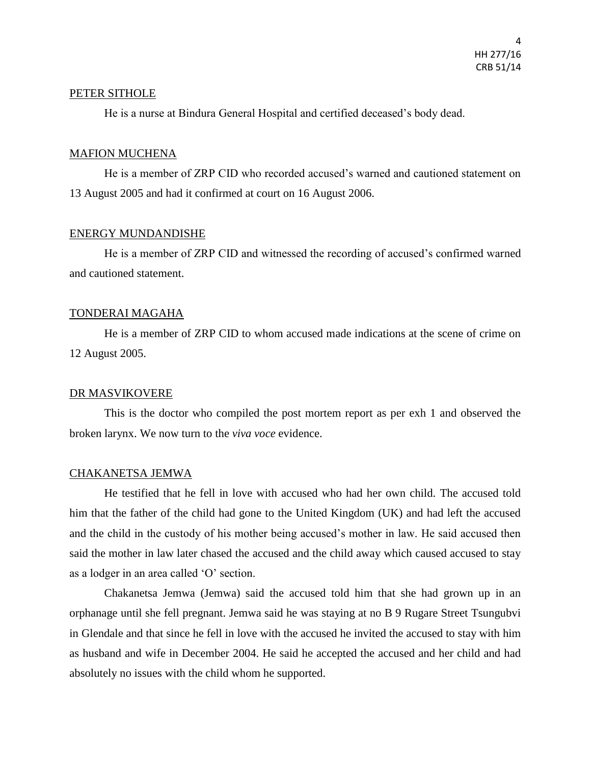#### PETER SITHOLE

He is a nurse at Bindura General Hospital and certified deceased's body dead.

### MAFION MUCHENA

He is a member of ZRP CID who recorded accused's warned and cautioned statement on 13 August 2005 and had it confirmed at court on 16 August 2006.

## ENERGY MUNDANDISHE

He is a member of ZRP CID and witnessed the recording of accused's confirmed warned and cautioned statement.

# TONDERAI MAGAHA

He is a member of ZRP CID to whom accused made indications at the scene of crime on 12 August 2005.

# DR MASVIKOVERE

This is the doctor who compiled the post mortem report as per exh 1 and observed the broken larynx. We now turn to the *viva voce* evidence.

#### CHAKANETSA JEMWA

He testified that he fell in love with accused who had her own child. The accused told him that the father of the child had gone to the United Kingdom (UK) and had left the accused and the child in the custody of his mother being accused's mother in law. He said accused then said the mother in law later chased the accused and the child away which caused accused to stay as a lodger in an area called 'O' section.

Chakanetsa Jemwa (Jemwa) said the accused told him that she had grown up in an orphanage until she fell pregnant. Jemwa said he was staying at no B 9 Rugare Street Tsungubvi in Glendale and that since he fell in love with the accused he invited the accused to stay with him as husband and wife in December 2004. He said he accepted the accused and her child and had absolutely no issues with the child whom he supported.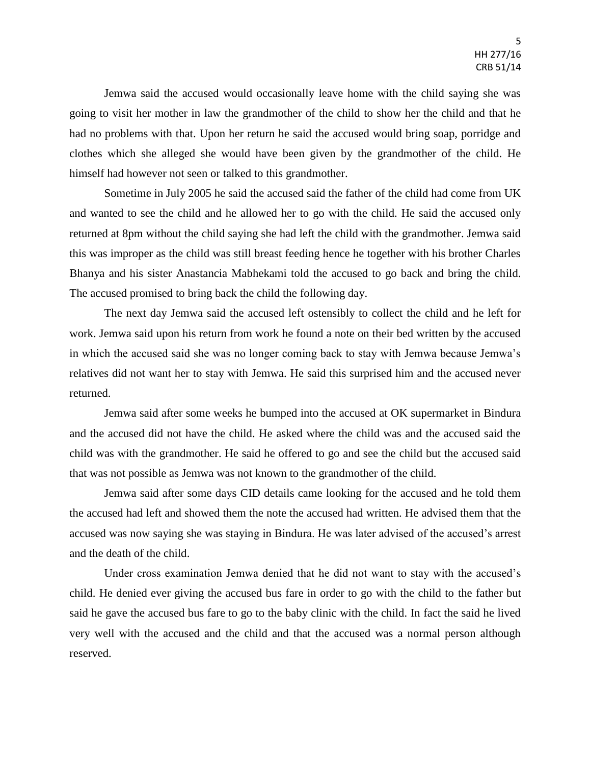Jemwa said the accused would occasionally leave home with the child saying she was going to visit her mother in law the grandmother of the child to show her the child and that he had no problems with that. Upon her return he said the accused would bring soap, porridge and clothes which she alleged she would have been given by the grandmother of the child. He himself had however not seen or talked to this grandmother.

Sometime in July 2005 he said the accused said the father of the child had come from UK and wanted to see the child and he allowed her to go with the child. He said the accused only returned at 8pm without the child saying she had left the child with the grandmother. Jemwa said this was improper as the child was still breast feeding hence he together with his brother Charles Bhanya and his sister Anastancia Mabhekami told the accused to go back and bring the child. The accused promised to bring back the child the following day.

The next day Jemwa said the accused left ostensibly to collect the child and he left for work. Jemwa said upon his return from work he found a note on their bed written by the accused in which the accused said she was no longer coming back to stay with Jemwa because Jemwa's relatives did not want her to stay with Jemwa. He said this surprised him and the accused never returned.

Jemwa said after some weeks he bumped into the accused at OK supermarket in Bindura and the accused did not have the child. He asked where the child was and the accused said the child was with the grandmother. He said he offered to go and see the child but the accused said that was not possible as Jemwa was not known to the grandmother of the child.

Jemwa said after some days CID details came looking for the accused and he told them the accused had left and showed them the note the accused had written. He advised them that the accused was now saying she was staying in Bindura. He was later advised of the accused's arrest and the death of the child.

Under cross examination Jemwa denied that he did not want to stay with the accused's child. He denied ever giving the accused bus fare in order to go with the child to the father but said he gave the accused bus fare to go to the baby clinic with the child. In fact the said he lived very well with the accused and the child and that the accused was a normal person although reserved.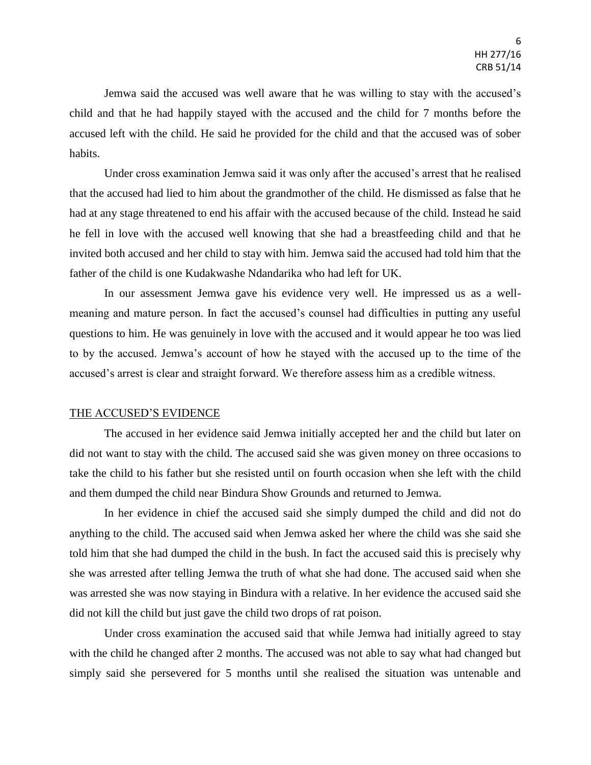Jemwa said the accused was well aware that he was willing to stay with the accused's child and that he had happily stayed with the accused and the child for 7 months before the accused left with the child. He said he provided for the child and that the accused was of sober habits.

Under cross examination Jemwa said it was only after the accused's arrest that he realised that the accused had lied to him about the grandmother of the child. He dismissed as false that he had at any stage threatened to end his affair with the accused because of the child. Instead he said he fell in love with the accused well knowing that she had a breastfeeding child and that he invited both accused and her child to stay with him. Jemwa said the accused had told him that the father of the child is one Kudakwashe Ndandarika who had left for UK.

In our assessment Jemwa gave his evidence very well. He impressed us as a wellmeaning and mature person. In fact the accused's counsel had difficulties in putting any useful questions to him. He was genuinely in love with the accused and it would appear he too was lied to by the accused. Jemwa's account of how he stayed with the accused up to the time of the accused's arrest is clear and straight forward. We therefore assess him as a credible witness.

#### THE ACCUSED'S EVIDENCE

The accused in her evidence said Jemwa initially accepted her and the child but later on did not want to stay with the child. The accused said she was given money on three occasions to take the child to his father but she resisted until on fourth occasion when she left with the child and them dumped the child near Bindura Show Grounds and returned to Jemwa.

In her evidence in chief the accused said she simply dumped the child and did not do anything to the child. The accused said when Jemwa asked her where the child was she said she told him that she had dumped the child in the bush. In fact the accused said this is precisely why she was arrested after telling Jemwa the truth of what she had done. The accused said when she was arrested she was now staying in Bindura with a relative. In her evidence the accused said she did not kill the child but just gave the child two drops of rat poison.

Under cross examination the accused said that while Jemwa had initially agreed to stay with the child he changed after 2 months. The accused was not able to say what had changed but simply said she persevered for 5 months until she realised the situation was untenable and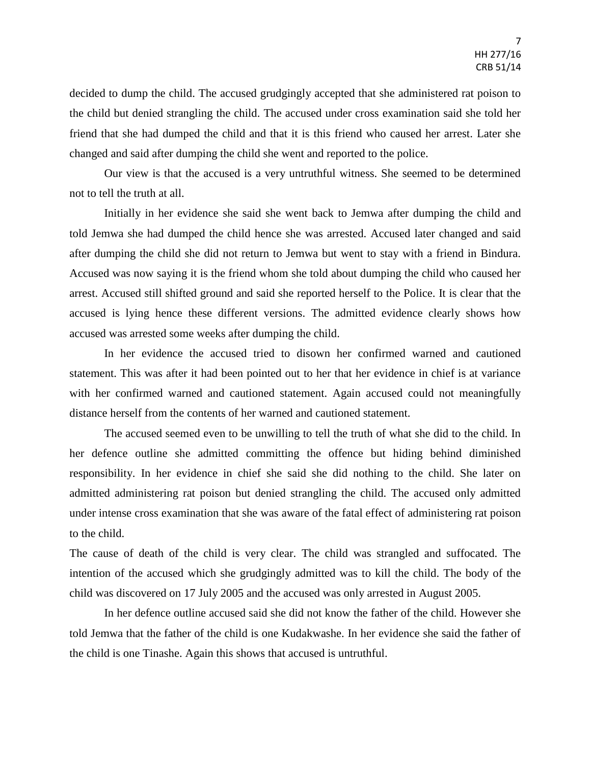decided to dump the child. The accused grudgingly accepted that she administered rat poison to the child but denied strangling the child. The accused under cross examination said she told her friend that she had dumped the child and that it is this friend who caused her arrest. Later she changed and said after dumping the child she went and reported to the police.

Our view is that the accused is a very untruthful witness. She seemed to be determined not to tell the truth at all.

Initially in her evidence she said she went back to Jemwa after dumping the child and told Jemwa she had dumped the child hence she was arrested. Accused later changed and said after dumping the child she did not return to Jemwa but went to stay with a friend in Bindura. Accused was now saying it is the friend whom she told about dumping the child who caused her arrest. Accused still shifted ground and said she reported herself to the Police. It is clear that the accused is lying hence these different versions. The admitted evidence clearly shows how accused was arrested some weeks after dumping the child.

In her evidence the accused tried to disown her confirmed warned and cautioned statement. This was after it had been pointed out to her that her evidence in chief is at variance with her confirmed warned and cautioned statement. Again accused could not meaningfully distance herself from the contents of her warned and cautioned statement.

The accused seemed even to be unwilling to tell the truth of what she did to the child. In her defence outline she admitted committing the offence but hiding behind diminished responsibility. In her evidence in chief she said she did nothing to the child. She later on admitted administering rat poison but denied strangling the child. The accused only admitted under intense cross examination that she was aware of the fatal effect of administering rat poison to the child.

The cause of death of the child is very clear. The child was strangled and suffocated. The intention of the accused which she grudgingly admitted was to kill the child. The body of the child was discovered on 17 July 2005 and the accused was only arrested in August 2005.

In her defence outline accused said she did not know the father of the child. However she told Jemwa that the father of the child is one Kudakwashe. In her evidence she said the father of the child is one Tinashe. Again this shows that accused is untruthful.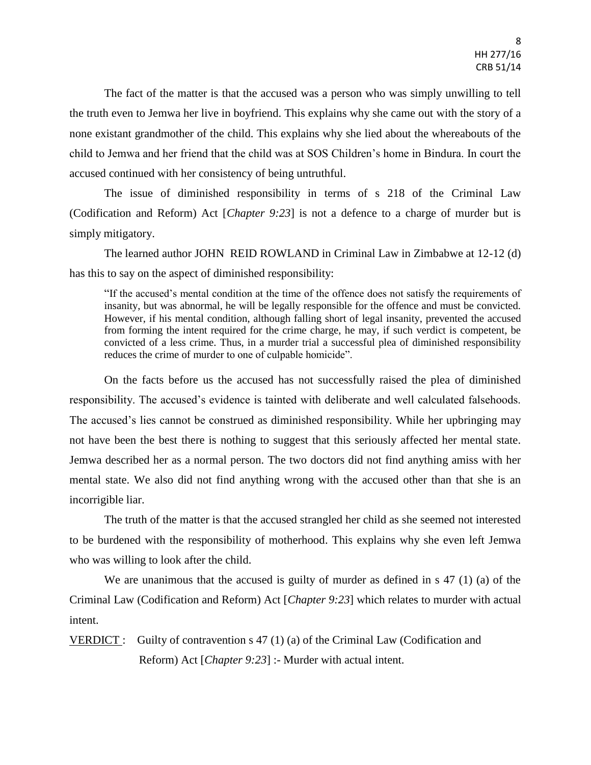The fact of the matter is that the accused was a person who was simply unwilling to tell the truth even to Jemwa her live in boyfriend. This explains why she came out with the story of a none existant grandmother of the child. This explains why she lied about the whereabouts of the child to Jemwa and her friend that the child was at SOS Children's home in Bindura. In court the accused continued with her consistency of being untruthful.

The issue of diminished responsibility in terms of s 218 of the Criminal Law (Codification and Reform) Act [*Chapter 9:23*] is not a defence to a charge of murder but is simply mitigatory.

The learned author JOHN REID ROWLAND in Criminal Law in Zimbabwe at 12-12 (d) has this to say on the aspect of diminished responsibility:

"If the accused's mental condition at the time of the offence does not satisfy the requirements of insanity, but was abnormal, he will be legally responsible for the offence and must be convicted. However, if his mental condition, although falling short of legal insanity, prevented the accused from forming the intent required for the crime charge, he may, if such verdict is competent, be convicted of a less crime. Thus, in a murder trial a successful plea of diminished responsibility reduces the crime of murder to one of culpable homicide".

On the facts before us the accused has not successfully raised the plea of diminished responsibility. The accused's evidence is tainted with deliberate and well calculated falsehoods. The accused's lies cannot be construed as diminished responsibility. While her upbringing may not have been the best there is nothing to suggest that this seriously affected her mental state. Jemwa described her as a normal person. The two doctors did not find anything amiss with her mental state. We also did not find anything wrong with the accused other than that she is an incorrigible liar.

The truth of the matter is that the accused strangled her child as she seemed not interested to be burdened with the responsibility of motherhood. This explains why she even left Jemwa who was willing to look after the child.

We are unanimous that the accused is guilty of murder as defined in s 47 (1) (a) of the Criminal Law (Codification and Reform) Act [*Chapter 9:23*] which relates to murder with actual intent.

VERDICT : Guilty of contravention s 47 (1) (a) of the Criminal Law (Codification and Reform) Act [*Chapter 9:23*] :- Murder with actual intent.